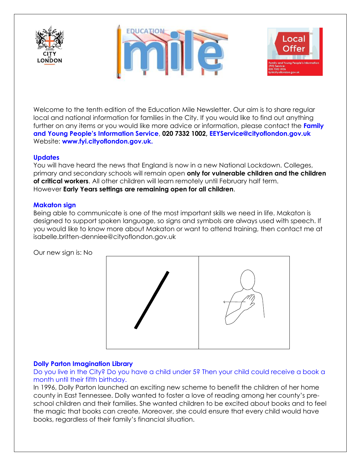





Welcome to the tenth edition of the Education Mile Newsletter. Our aim is to share regular local and national information for families in the City. If you would like to find out anything further on any items or you would like more advice or information, please contact the **Family and Young People's Information Service**, **020 7332 1002, EEYService@cityoflondon.gov.uk** Website: **[www.fyi.cityoflondon.gov.uk.](http://www.fyi.cityoflondon.gov.uk/)**

## **Updates**

You will have heard the news that England is now in a new National Lockdown. Colleges, primary and secondary schools will remain open **only for vulnerable children and the children of critical workers**. All other children will learn remotely until February half term. However **Early Years settings are remaining open for all children**.

## **Makaton sign**

Being able to communicate is one of the most important skills we need in life. Makaton is designed to support spoken language, so signs and symbols are always used with speech. If you would like to know more about Makaton or want to attend training, then contact me at isabelle.britten-denniee@cityoflondon.gov.uk

Our new sign is: No



## **Dolly Parton Imagination Library**

Do you live in the City? Do you have a child under 5? Then your child could receive a book a month until their fifth birthday.

In 1996, Dolly Parton launched an exciting new scheme to benefit the children of her home county in East Tennessee. Dolly wanted to foster a love of reading among her county's preschool children and their families. She wanted children to be excited about books and to feel the magic that books can create. Moreover, she could ensure that every child would have books, regardless of their family's financial situation.